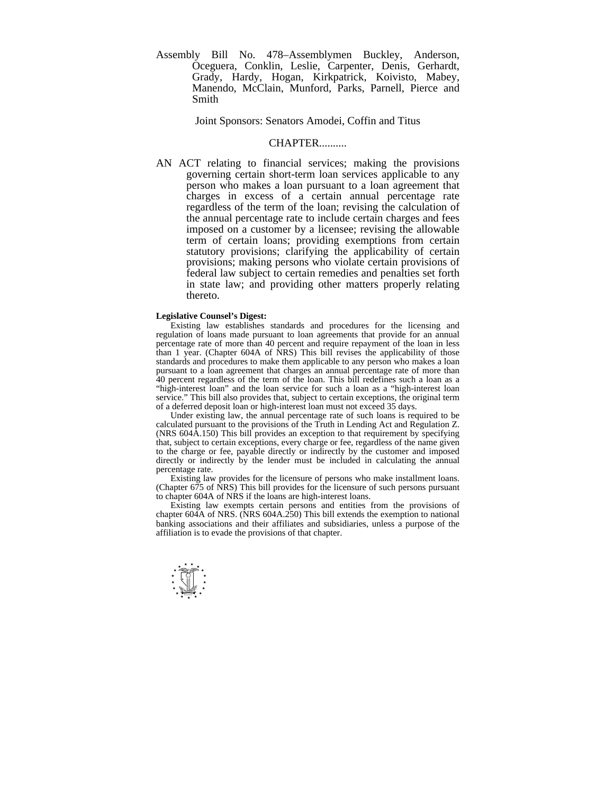Assembly Bill No. 478–Assemblymen Buckley, Anderson, Oceguera, Conklin, Leslie, Carpenter, Denis, Gerhardt, Grady, Hardy, Hogan, Kirkpatrick, Koivisto, Mabey, Manendo, McClain, Munford, Parks, Parnell, Pierce and Smith

Joint Sponsors: Senators Amodei, Coffin and Titus

## **CHAPTER**

AN ACT relating to financial services; making the provisions governing certain short-term loan services applicable to any person who makes a loan pursuant to a loan agreement that charges in excess of a certain annual percentage rate regardless of the term of the loan; revising the calculation of the annual percentage rate to include certain charges and fees imposed on a customer by a licensee; revising the allowable term of certain loans; providing exemptions from certain statutory provisions; clarifying the applicability of certain provisions; making persons who violate certain provisions of federal law subject to certain remedies and penalties set forth in state law; and providing other matters properly relating thereto.

## **Legislative Counsel's Digest:**

 Existing law establishes standards and procedures for the licensing and regulation of loans made pursuant to loan agreements that provide for an annual percentage rate of more than 40 percent and require repayment of the loan in less than 1 year. (Chapter 604A of NRS) This bill revises the applicability of those standards and procedures to make them applicable to any person who makes a loan pursuant to a loan agreement that charges an annual percentage rate of more than 40 percent regardless of the term of the loan. This bill redefines such a loan as a "high-interest loan" and the loan service for such a loan as a "high-interest loan service." This bill also provides that, subject to certain exceptions, the original term of a deferred deposit loan or high-interest loan must not exceed 35 days.

 Under existing law, the annual percentage rate of such loans is required to be calculated pursuant to the provisions of the Truth in Lending Act and Regulation Z. (NRS 604A.150) This bill provides an exception to that requirement by specifying that, subject to certain exceptions, every charge or fee, regardless of the name given to the charge or fee, payable directly or indirectly by the customer and imposed directly or indirectly by the lender must be included in calculating the annual percentage rate.

 Existing law provides for the licensure of persons who make installment loans. (Chapter 675 of NRS) This bill provides for the licensure of such persons pursuant to chapter 604A of NRS if the loans are high-interest loans.

 Existing law exempts certain persons and entities from the provisions of chapter 604A of NRS. (NRS 604A.250) This bill extends the exemption to national banking associations and their affiliates and subsidiaries, unless a purpose of the affiliation is to evade the provisions of that chapter.

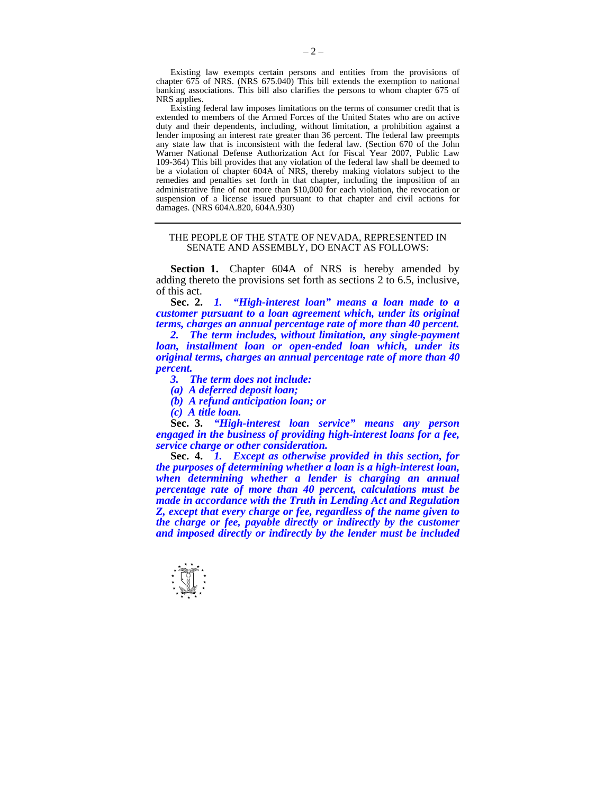Existing law exempts certain persons and entities from the provisions of chapter  $675$  of NRS. (NRS  $675.040$ ) This bill extends the exemption to national banking associations. This bill also clarifies the persons to whom chapter 675 of NRS applies.

 Existing federal law imposes limitations on the terms of consumer credit that is extended to members of the Armed Forces of the United States who are on active duty and their dependents, including, without limitation, a prohibition against a lender imposing an interest rate greater than 36 percent. The federal law preempts any state law that is inconsistent with the federal law. (Section 670 of the John Warner National Defense Authorization Act for Fiscal Year 2007, Public Law 109-364) This bill provides that any violation of the federal law shall be deemed to be a violation of chapter 604A of NRS, thereby making violators subject to the remedies and penalties set forth in that chapter, including the imposition of an administrative fine of not more than \$10,000 for each violation, the revocation or suspension of a license issued pursuant to that chapter and civil actions for damages. (NRS 604A.820, 604A.930)

## THE PEOPLE OF THE STATE OF NEVADA, REPRESENTED IN SENATE AND ASSEMBLY, DO ENACT AS FOLLOWS:

**Section 1.** Chapter 604A of NRS is hereby amended by adding thereto the provisions set forth as sections 2 to 6.5, inclusive, of this act.

 **Sec. 2.** *1. "High-interest loan" means a loan made to a customer pursuant to a loan agreement which, under its original terms, charges an annual percentage rate of more than 40 percent.* 

 *2. The term includes, without limitation, any single-payment loan, installment loan or open-ended loan which, under its original terms, charges an annual percentage rate of more than 40 percent.* 

 *3. The term does not include:* 

 *(a) A deferred deposit loan;* 

 *(b) A refund anticipation loan; or* 

 *(c) A title loan.* 

 **Sec. 3.** *"High-interest loan service" means any person engaged in the business of providing high-interest loans for a fee, service charge or other consideration.* 

 **Sec. 4.** *1. Except as otherwise provided in this section, for the purposes of determining whether a loan is a high-interest loan, when determining whether a lender is charging an annual percentage rate of more than 40 percent, calculations must be made in accordance with the Truth in Lending Act and Regulation Z, except that every charge or fee, regardless of the name given to the charge or fee, payable directly or indirectly by the customer and imposed directly or indirectly by the lender must be included* 

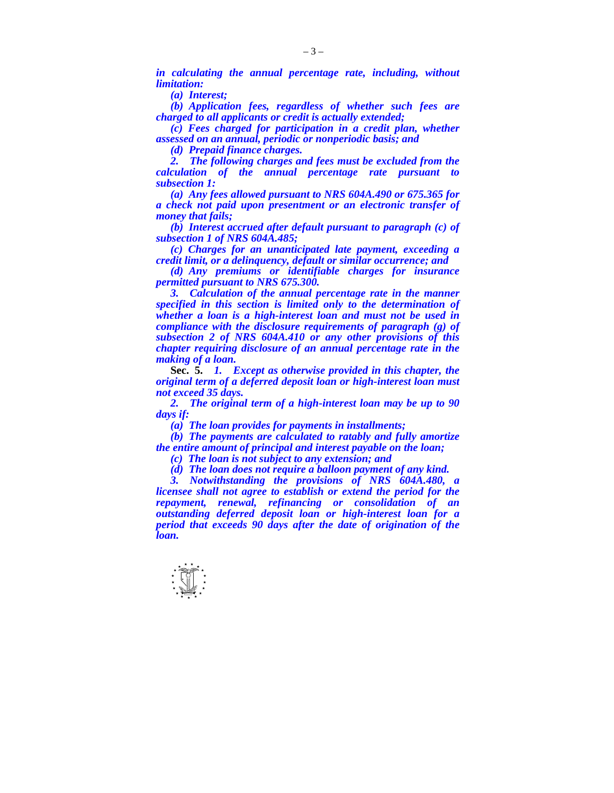*in calculating the annual percentage rate, including, without limitation:* 

*(a) Interest;* 

 *(b) Application fees, regardless of whether such fees are charged to all applicants or credit is actually extended;* 

 *(c) Fees charged for participation in a credit plan, whether assessed on an annual, periodic or nonperiodic basis; and* 

 *(d) Prepaid finance charges.* 

 *2. The following charges and fees must be excluded from the calculation of the annual percentage rate pursuant to subsection 1:* 

 *(a) Any fees allowed pursuant to NRS 604A.490 or 675.365 for a check not paid upon presentment or an electronic transfer of money that fails;* 

 *(b) Interest accrued after default pursuant to paragraph (c) of subsection 1 of NRS 604A.485;* 

 *(c) Charges for an unanticipated late payment, exceeding a credit limit, or a delinquency, default or similar occurrence; and* 

*(d) Any premiums or identifiable charges for insurance permitted pursuant to NRS 675.300.* 

 *3. Calculation of the annual percentage rate in the manner specified in this section is limited only to the determination of whether a loan is a high-interest loan and must not be used in compliance with the disclosure requirements of paragraph (g) of subsection 2 of NRS 604A.410 or any other provisions of this chapter requiring disclosure of an annual percentage rate in the making of a loan.* 

 **Sec. 5.** *1. Except as otherwise provided in this chapter, the original term of a deferred deposit loan or high-interest loan must not exceed 35 days.* 

 *2. The original term of a high-interest loan may be up to 90 days if:* 

 *(a) The loan provides for payments in installments;* 

 *(b) The payments are calculated to ratably and fully amortize the entire amount of principal and interest payable on the loan;* 

 *(c) The loan is not subject to any extension; and* 

 *(d) The loan does not require a balloon payment of any kind.* 

 *3. Notwithstanding the provisions of NRS 604A.480, a licensee shall not agree to establish or extend the period for the repayment, renewal, refinancing or consolidation of an outstanding deferred deposit loan or high-interest loan for a period that exceeds 90 days after the date of origination of the loan.*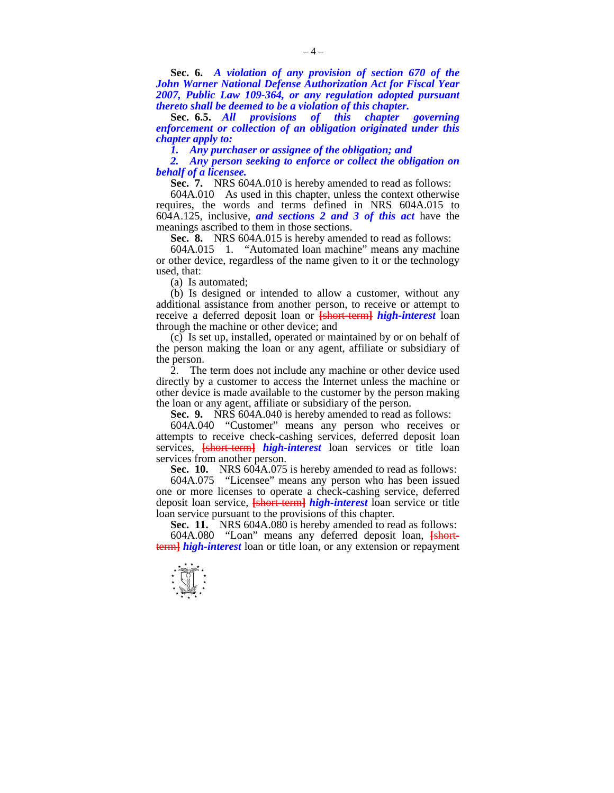**Sec. 6.** *A violation of any provision of section 670 of the John Warner National Defense Authorization Act for Fiscal Year 2007, Public Law 109-364, or any regulation adopted pursuant thereto shall be deemed to be a violation of this chapter.* 

 **Sec. 6.5.** *All provisions of this chapter governing enforcement or collection of an obligation originated under this chapter apply to:* 

 *1. Any purchaser or assignee of the obligation; and* 

 *2. Any person seeking to enforce or collect the obligation on behalf of a licensee.*

**Sec. 7.** NRS 604A.010 is hereby amended to read as follows:

 604A.010 As used in this chapter, unless the context otherwise requires, the words and terms defined in NRS 604A.015 to 604A.125, inclusive, *and sections 2 and 3 of this act* have the meanings ascribed to them in those sections.

**Sec. 8.** NRS 604A.015 is hereby amended to read as follows:

 604A.015 1. "Automated loan machine" means any machine or other device, regardless of the name given to it or the technology used, that:

(a) Is automated;

 (b) Is designed or intended to allow a customer, without any additional assistance from another person, to receive or attempt to receive a deferred deposit loan or **[**short-term**]** *high-interest* loan through the machine or other device; and

 (c) Is set up, installed, operated or maintained by or on behalf of the person making the loan or any agent, affiliate or subsidiary of the person.

 2. The term does not include any machine or other device used directly by a customer to access the Internet unless the machine or other device is made available to the customer by the person making the loan or any agent, affiliate or subsidiary of the person.

**Sec. 9.** NRS 604A.040 is hereby amended to read as follows:

 604A.040 "Customer" means any person who receives or attempts to receive check-cashing services, deferred deposit loan services, **[**short-term**]** *high-interest* loan services or title loan services from another person.

**Sec. 10.** NRS 604A.075 is hereby amended to read as follows:

 604A.075 "Licensee" means any person who has been issued one or more licenses to operate a check-cashing service, deferred deposit loan service, **[**short-term**]** *high-interest* loan service or title loan service pursuant to the provisions of this chapter.

**Sec. 11.** NRS 604A.080 is hereby amended to read as follows:

 604A.080 "Loan" means any deferred deposit loan, **[**shortterm**]** *high-interest* loan or title loan, or any extension or repayment

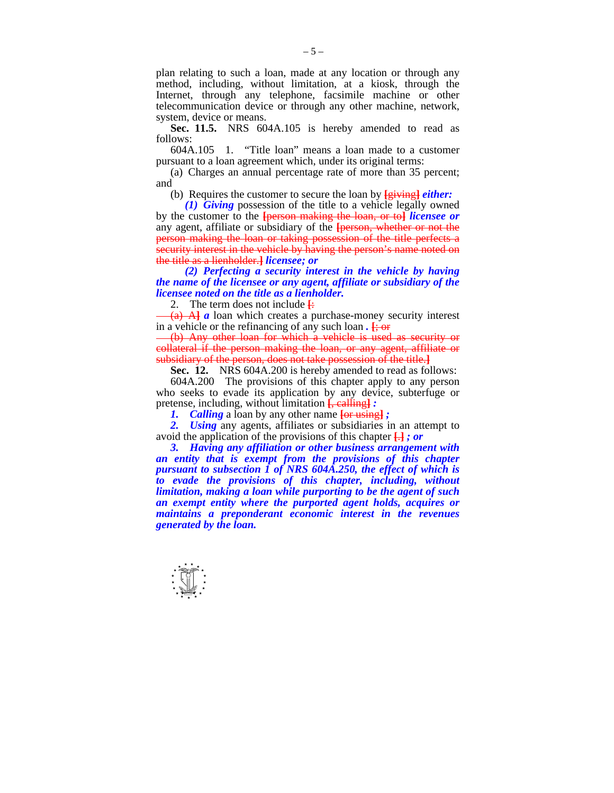plan relating to such a loan, made at any location or through any method, including, without limitation, at a kiosk, through the Internet, through any telephone, facsimile machine or other telecommunication device or through any other machine, network, system, device or means.

 **Sec. 11.5.** NRS 604A.105 is hereby amended to read as follows:

 604A.105 1. "Title loan" means a loan made to a customer pursuant to a loan agreement which, under its original terms:

 (a) Charges an annual percentage rate of more than 35 percent; and

(b) Requires the customer to secure the loan by **[**giving**]** *either:* 

 *(1) Giving* possession of the title to a vehicle legally owned by the customer to the **[**person making the loan, or to**]** *licensee or*  any agent, affiliate or subsidiary of the **[**person, whether or not the person making the loan or taking possession of the title perfects a security interest in the vehicle by having the person's name noted on the title as a lienholder.**]** *licensee; or* 

 *(2) Perfecting a security interest in the vehicle by having the name of the licensee or any agent, affiliate or subsidiary of the licensee noted on the title as a lienholder.*

2. The term does not include  $\frac{1}{2}$ 

(a) A**]** *a* loan which creates a purchase-money security interest in a vehicle or the refinancing of any such loan.  $\frac{1}{2}$ 

(b) Any other loan for which a vehicle is used as security or collateral if the person making the loan, or any agent, affiliate or subsidiary of the person, does not take possession of the title.**]**

**Sec. 12.** NRS 604A.200 is hereby amended to read as follows:

 604A.200 The provisions of this chapter apply to any person who seeks to evade its application by any device, subterfuge or pretense, including, without limitation **[**, calling**]** *:* 

 *1. Calling* a loan by any other name **[**or using**]** *;* 

2. *Using* any agents, affiliates or subsidiaries in an attempt to avoid the application of the provisions of this chapter **[**.**]** *; or* 

 *3. Having any affiliation or other business arrangement with an entity that is exempt from the provisions of this chapter pursuant to subsection 1 of NRS 604A.250, the effect of which is to evade the provisions of this chapter, including, without limitation, making a loan while purporting to be the agent of such an exempt entity where the purported agent holds, acquires or maintains a preponderant economic interest in the revenues generated by the loan.*

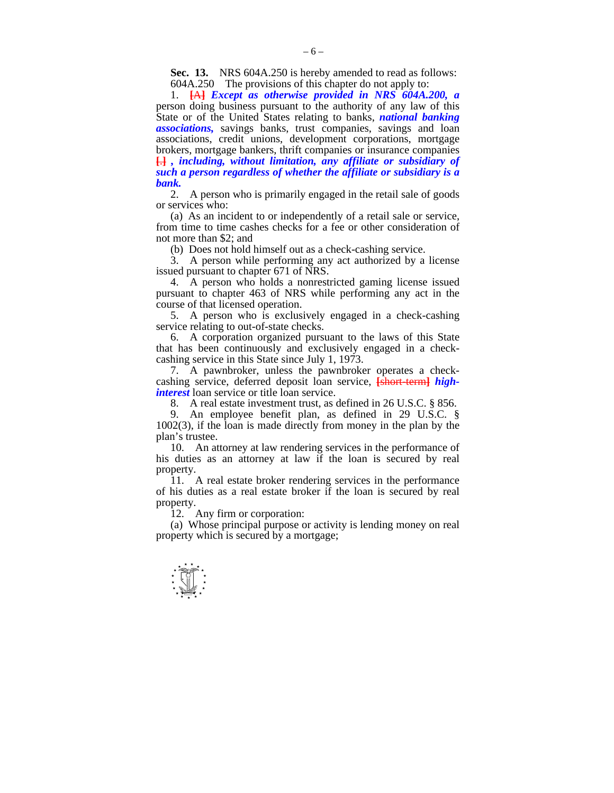**Sec. 13.** NRS 604A.250 is hereby amended to read as follows: 604A.250 The provisions of this chapter do not apply to:

 1. **[**A**]** *Except as otherwise provided in NRS 604A.200, a*  person doing business pursuant to the authority of any law of this State or of the United States relating to banks, *national banking associations,* savings banks, trust companies, savings and loan associations, credit unions, development corporations, mortgage brokers, mortgage bankers, thrift companies or insurance companies **[**.**]** *, including, without limitation, any affiliate or subsidiary of such a person regardless of whether the affiliate or subsidiary is a bank.*

 2. A person who is primarily engaged in the retail sale of goods or services who:

 (a) As an incident to or independently of a retail sale or service, from time to time cashes checks for a fee or other consideration of not more than \$2; and

(b) Does not hold himself out as a check-cashing service.

 3. A person while performing any act authorized by a license issued pursuant to chapter 671 of NRS.

 4. A person who holds a nonrestricted gaming license issued pursuant to chapter 463 of NRS while performing any act in the course of that licensed operation.

 5. A person who is exclusively engaged in a check-cashing service relating to out-of-state checks.

 6. A corporation organized pursuant to the laws of this State that has been continuously and exclusively engaged in a checkcashing service in this State since July 1, 1973.

 7. A pawnbroker, unless the pawnbroker operates a checkcashing service, deferred deposit loan service, **[**short-term**]** *highinterest* loan service or title loan service.

8. A real estate investment trust, as defined in 26 U.S.C. § 856.

 9. An employee benefit plan, as defined in 29 U.S.C. § 1002(3), if the loan is made directly from money in the plan by the plan's trustee.

 10. An attorney at law rendering services in the performance of his duties as an attorney at law if the loan is secured by real property.

 11. A real estate broker rendering services in the performance of his duties as a real estate broker if the loan is secured by real property.

12. Any firm or corporation:

 (a) Whose principal purpose or activity is lending money on real property which is secured by a mortgage;

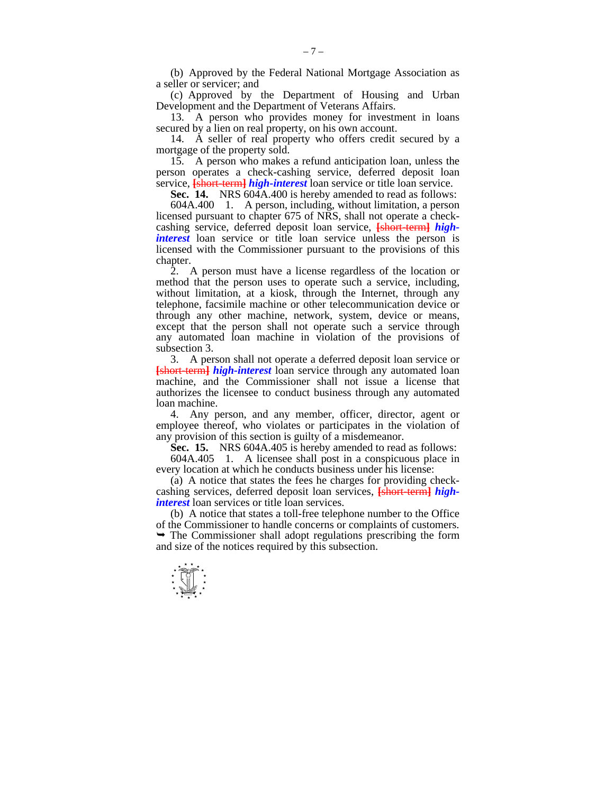(b) Approved by the Federal National Mortgage Association as a seller or servicer; and

 (c) Approved by the Department of Housing and Urban Development and the Department of Veterans Affairs.

 13. A person who provides money for investment in loans secured by a lien on real property, on his own account.

 14. A seller of real property who offers credit secured by a mortgage of the property sold.

 15. A person who makes a refund anticipation loan, unless the person operates a check-cashing service, deferred deposit loan service, **[**short-term**]** *high-interest* loan service or title loan service.

**Sec. 14.** NRS 604A.400 is hereby amended to read as follows:

 604A.400 1. A person, including, without limitation, a person licensed pursuant to chapter 675 of NRS, shall not operate a checkcashing service, deferred deposit loan service, **[**short-term**]** *highinterest* loan service or title loan service unless the person is licensed with the Commissioner pursuant to the provisions of this chapter.

 2. A person must have a license regardless of the location or method that the person uses to operate such a service, including, without limitation, at a kiosk, through the Internet, through any telephone, facsimile machine or other telecommunication device or through any other machine, network, system, device or means, except that the person shall not operate such a service through any automated loan machine in violation of the provisions of subsection 3.

 3. A person shall not operate a deferred deposit loan service or **[**short-term**]** *high-interest* loan service through any automated loan machine, and the Commissioner shall not issue a license that authorizes the licensee to conduct business through any automated loan machine.

 4. Any person, and any member, officer, director, agent or employee thereof, who violates or participates in the violation of any provision of this section is guilty of a misdemeanor.

**Sec. 15.** NRS 604A.405 is hereby amended to read as follows:

 604A.405 1. A licensee shall post in a conspicuous place in every location at which he conducts business under his license:

 (a) A notice that states the fees he charges for providing checkcashing services, deferred deposit loan services, **[**short-term**]** *highinterest* loan services or title loan services.

 (b) A notice that states a toll-free telephone number to the Office of the Commissioner to handle concerns or complaints of customers.  $\rightarrow$  The Commissioner shall adopt regulations prescribing the form and size of the notices required by this subsection.

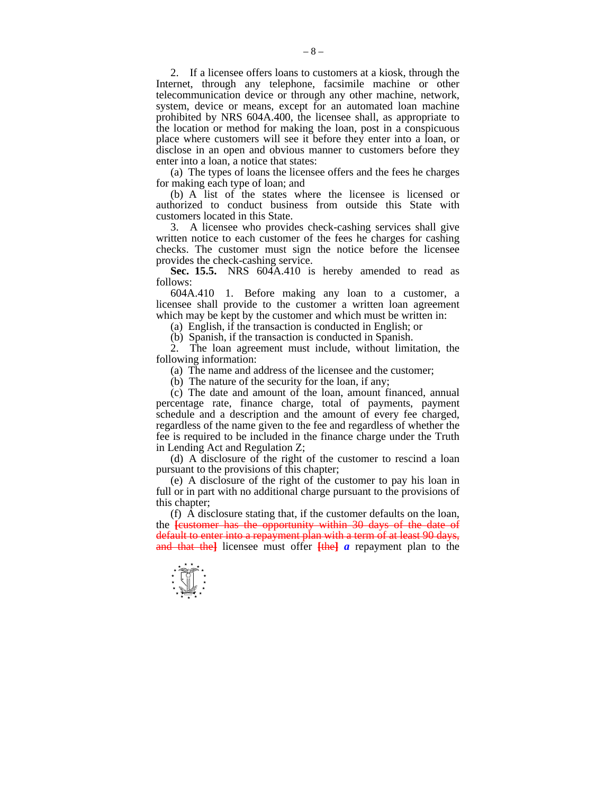2. If a licensee offers loans to customers at a kiosk, through the Internet, through any telephone, facsimile machine or other telecommunication device or through any other machine, network, system, device or means, except for an automated loan machine prohibited by NRS 604A.400, the licensee shall, as appropriate to the location or method for making the loan, post in a conspicuous place where customers will see it before they enter into a loan, or disclose in an open and obvious manner to customers before they enter into a loan, a notice that states:

 (a) The types of loans the licensee offers and the fees he charges for making each type of loan; and

 (b) A list of the states where the licensee is licensed or authorized to conduct business from outside this State with customers located in this State.

 3. A licensee who provides check-cashing services shall give written notice to each customer of the fees he charges for cashing checks. The customer must sign the notice before the licensee provides the check-cashing service.

Sec. 15.5. NRS  $604A.410$  is hereby amended to read as follows:

 604A.410 1. Before making any loan to a customer, a licensee shall provide to the customer a written loan agreement which may be kept by the customer and which must be written in:

(a) English, if the transaction is conducted in English; or

(b) Spanish, if the transaction is conducted in Spanish.

 2. The loan agreement must include, without limitation, the following information:

(a) The name and address of the licensee and the customer;

(b) The nature of the security for the loan, if any;

 (c) The date and amount of the loan, amount financed, annual percentage rate, finance charge, total of payments, payment schedule and a description and the amount of every fee charged, regardless of the name given to the fee and regardless of whether the fee is required to be included in the finance charge under the Truth in Lending Act and Regulation Z;

 (d) A disclosure of the right of the customer to rescind a loan pursuant to the provisions of this chapter;

 (e) A disclosure of the right of the customer to pay his loan in full or in part with no additional charge pursuant to the provisions of this chapter;

 (f) A disclosure stating that, if the customer defaults on the loan, the **[**customer has the opportunity within 30 days of the date of default to enter into a repayment plan with a term of at least 90 days, and that the**]** licensee must offer **[**the**]** *a* repayment plan to the

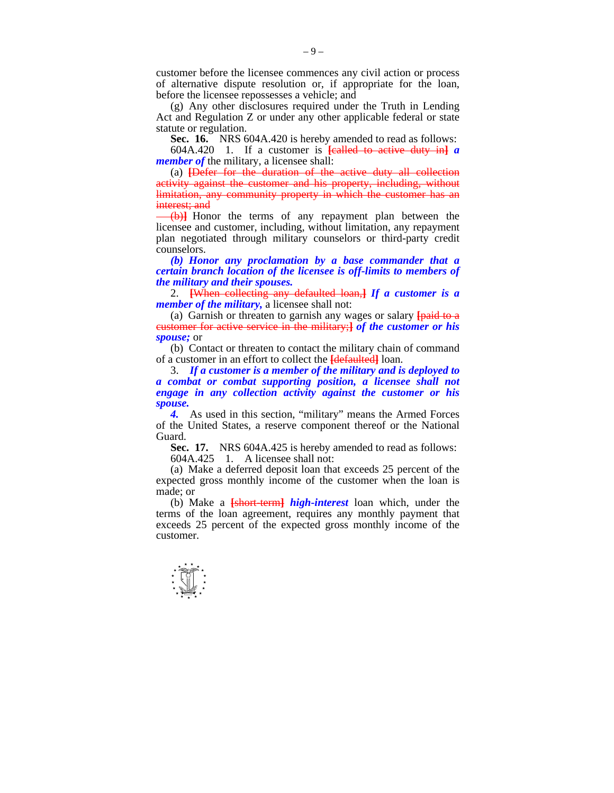customer before the licensee commences any civil action or process of alternative dispute resolution or, if appropriate for the loan, before the licensee repossesses a vehicle; and

 (g) Any other disclosures required under the Truth in Lending Act and Regulation Z or under any other applicable federal or state statute or regulation.

 **Sec. 16.** NRS 604A.420 is hereby amended to read as follows:

 604A.420 1. If a customer is **[**called to active duty in**]** *a member of the military, a licensee shall:* 

 (a) **[**Defer for the duration of the active duty all collection activity against the customer and his property, including, without limitation, any community property in which the customer has an interest; and

(b)<sup>1</sup> Honor the terms of any repayment plan between the licensee and customer, including, without limitation, any repayment plan negotiated through military counselors or third-party credit counselors.

 *(b) Honor any proclamation by a base commander that a certain branch location of the licensee is off-limits to members of the military and their spouses.* 

 2. **[**When collecting any defaulted loan,**]** *If a customer is a member of the military, a licensee shall not:* 

 (a) Garnish or threaten to garnish any wages or salary **[**paid to a customer for active service in the military;**]** *of the customer or his spouse;* or

 (b) Contact or threaten to contact the military chain of command of a customer in an effort to collect the **[**defaulted**]** loan.

 3. *If a customer is a member of the military and is deployed to a combat or combat supporting position, a licensee shall not engage in any collection activity against the customer or his spouse.* 

 *4.* As used in this section, "military" means the Armed Forces of the United States, a reserve component thereof or the National Guard.

 **Sec. 17.** NRS 604A.425 is hereby amended to read as follows: 604A.425 1. A licensee shall not:

 (a) Make a deferred deposit loan that exceeds 25 percent of the expected gross monthly income of the customer when the loan is made; or

 (b) Make a **[**short-term**]** *high-interest* loan which, under the terms of the loan agreement, requires any monthly payment that exceeds 25 percent of the expected gross monthly income of the customer.

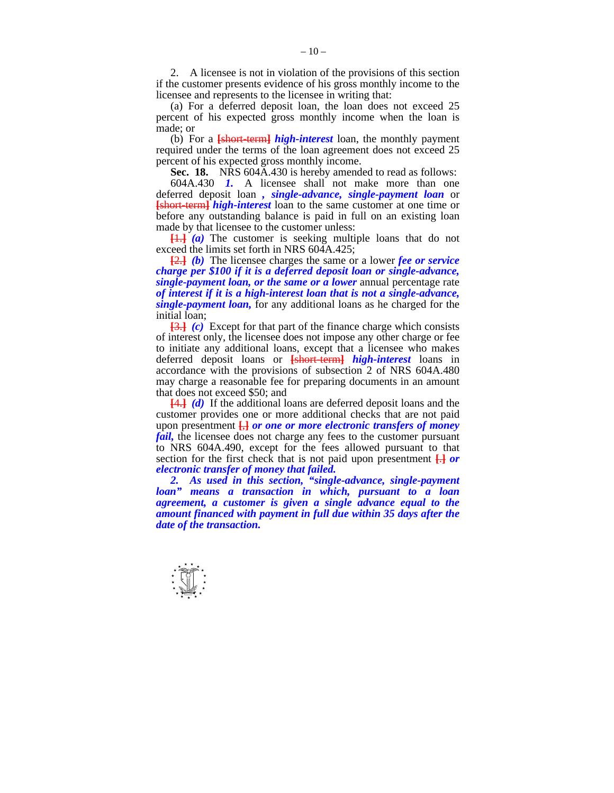2. A licensee is not in violation of the provisions of this section if the customer presents evidence of his gross monthly income to the licensee and represents to the licensee in writing that:

 (a) For a deferred deposit loan, the loan does not exceed 25 percent of his expected gross monthly income when the loan is made; or

 (b) For a **[**short-term**]** *high-interest* loan, the monthly payment required under the terms of the loan agreement does not exceed 25 percent of his expected gross monthly income.

**Sec. 18.** NRS 604A.430 is hereby amended to read as follows:

 604A.430 *1.* A licensee shall not make more than one deferred deposit loan *, single-advance, single-payment loan* or **[**short-term**]** *high-interest* loan to the same customer at one time or before any outstanding balance is paid in full on an existing loan made by that licensee to the customer unless:

**[**1.**]** *(a)* The customer is seeking multiple loans that do not exceed the limits set forth in NRS 604A.425;

**[**2.**]** *(b)* The licensee charges the same or a lower *fee or service charge per \$100 if it is a deferred deposit loan or single-advance, single-payment loan, or the same or a lower* annual percentage rate *of interest if it is a high-interest loan that is not a single-advance, single-payment loan,* for any additional loans as he charged for the initial loan;

**[**3.**]** *(c)* Except for that part of the finance charge which consists of interest only, the licensee does not impose any other charge or fee to initiate any additional loans, except that a licensee who makes deferred deposit loans or **[**short-term**]** *high-interest* loans in accordance with the provisions of subsection 2 of NRS 604A.480 may charge a reasonable fee for preparing documents in an amount that does not exceed \$50; and

**[**4.**]** *(d)* If the additional loans are deferred deposit loans and the customer provides one or more additional checks that are not paid upon presentment **[**,**]** *or one or more electronic transfers of money fail*, the licensee does not charge any fees to the customer pursuant to NRS 604A.490, except for the fees allowed pursuant to that section for the first check that is not paid upon presentment  $\Box$  or *electronic transfer of money that failed.* 

 *2. As used in this section, "single-advance, single-payment loan" means a transaction in which, pursuant to a loan agreement, a customer is given a single advance equal to the amount financed with payment in full due within 35 days after the date of the transaction.* 

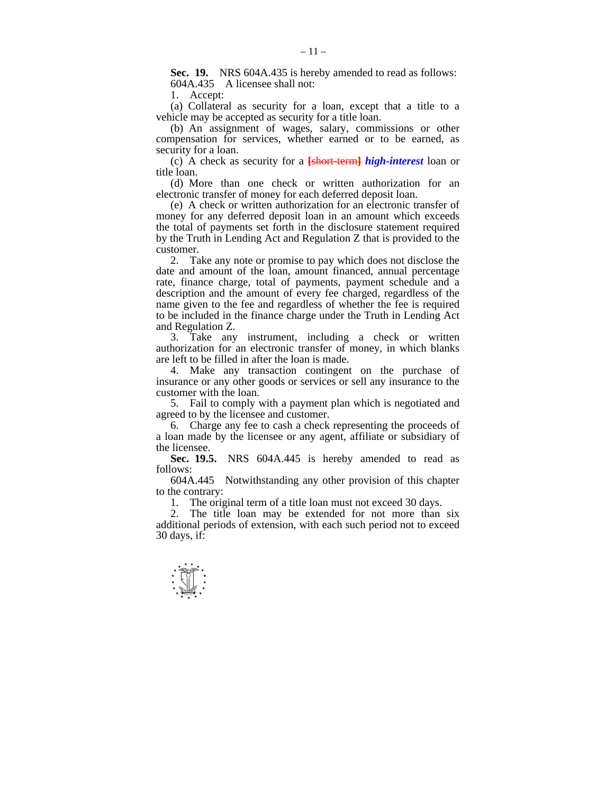**Sec. 19.** NRS 604A.435 is hereby amended to read as follows: 604A.435 A licensee shall not:

1. Accept:

 (a) Collateral as security for a loan, except that a title to a vehicle may be accepted as security for a title loan.

 (b) An assignment of wages, salary, commissions or other compensation for services, whether earned or to be earned, as security for a loan.

 (c) A check as security for a **[**short-term**]** *high-interest* loan or title loan.

 (d) More than one check or written authorization for an electronic transfer of money for each deferred deposit loan.

 (e) A check or written authorization for an electronic transfer of money for any deferred deposit loan in an amount which exceeds the total of payments set forth in the disclosure statement required by the Truth in Lending Act and Regulation Z that is provided to the customer.

 2. Take any note or promise to pay which does not disclose the date and amount of the loan, amount financed, annual percentage rate, finance charge, total of payments, payment schedule and a description and the amount of every fee charged, regardless of the name given to the fee and regardless of whether the fee is required to be included in the finance charge under the Truth in Lending Act and Regulation Z.

 3. Take any instrument, including a check or written authorization for an electronic transfer of money, in which blanks are left to be filled in after the loan is made.

 4. Make any transaction contingent on the purchase of insurance or any other goods or services or sell any insurance to the customer with the loan.

 5. Fail to comply with a payment plan which is negotiated and agreed to by the licensee and customer.

 6. Charge any fee to cash a check representing the proceeds of a loan made by the licensee or any agent, affiliate or subsidiary of the licensee.

 **Sec. 19.5.** NRS 604A.445 is hereby amended to read as follows:

 604A.445 Notwithstanding any other provision of this chapter to the contrary:

1. The original term of a title loan must not exceed 30 days.

 2. The title loan may be extended for not more than six additional periods of extension, with each such period not to exceed 30 days, if:

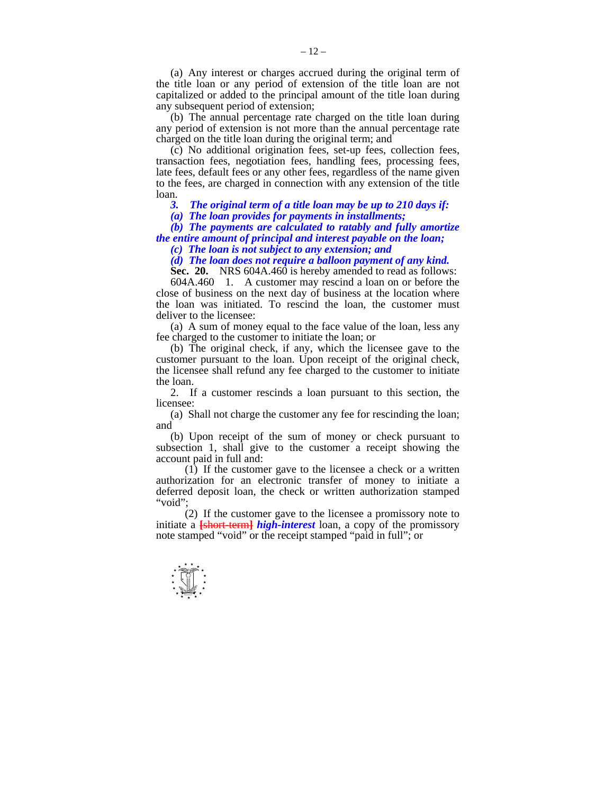(a) Any interest or charges accrued during the original term of the title loan or any period of extension of the title loan are not capitalized or added to the principal amount of the title loan during any subsequent period of extension;

 (b) The annual percentage rate charged on the title loan during any period of extension is not more than the annual percentage rate charged on the title loan during the original term; and

 (c) No additional origination fees, set-up fees, collection fees, transaction fees, negotiation fees, handling fees, processing fees, late fees, default fees or any other fees, regardless of the name given to the fees, are charged in connection with any extension of the title loan.

 *3. The original term of a title loan may be up to 210 days if:* 

 *(a) The loan provides for payments in installments;* 

 *(b) The payments are calculated to ratably and fully amortize the entire amount of principal and interest payable on the loan;* 

 *(c) The loan is not subject to any extension; and* 

 *(d) The loan does not require a balloon payment of any kind.* 

**Sec. 20.** NRS 604A.460 is hereby amended to read as follows: 604A.460 1. A customer may rescind a loan on or before the

A customer may rescind a loan on or before the close of business on the next day of business at the location where the loan was initiated. To rescind the loan, the customer must deliver to the licensee:

 (a) A sum of money equal to the face value of the loan, less any fee charged to the customer to initiate the loan; or

 (b) The original check, if any, which the licensee gave to the customer pursuant to the loan. Upon receipt of the original check, the licensee shall refund any fee charged to the customer to initiate the loan.

 2. If a customer rescinds a loan pursuant to this section, the licensee:

 (a) Shall not charge the customer any fee for rescinding the loan; and

 (b) Upon receipt of the sum of money or check pursuant to subsection 1, shall give to the customer a receipt showing the account paid in full and:

 (1) If the customer gave to the licensee a check or a written authorization for an electronic transfer of money to initiate a deferred deposit loan, the check or written authorization stamped "void";

 (2) If the customer gave to the licensee a promissory note to initiate a **[**short-term**]** *high-interest* loan, a copy of the promissory note stamped "void" or the receipt stamped "paid in full"; or

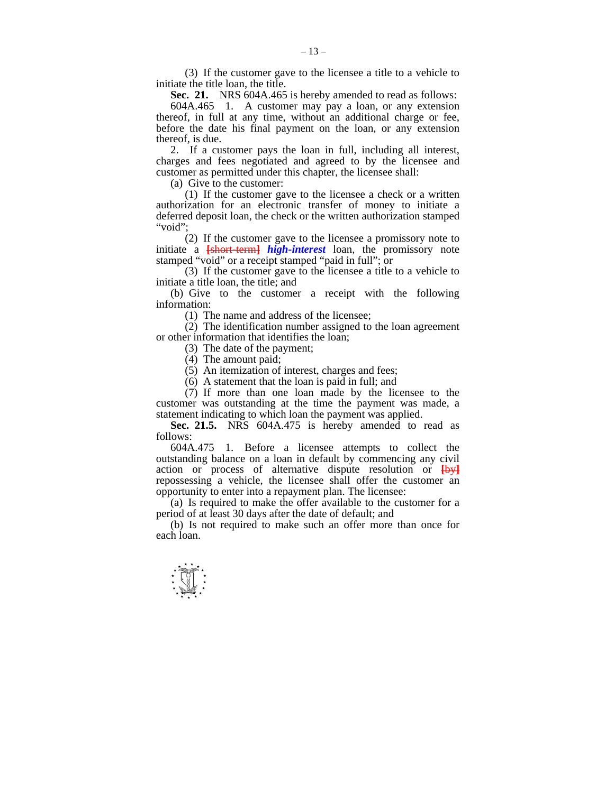(3) If the customer gave to the licensee a title to a vehicle to initiate the title loan, the title.

**Sec. 21.** NRS 604A.465 is hereby amended to read as follows:

 604A.465 1. A customer may pay a loan, or any extension thereof, in full at any time, without an additional charge or fee, before the date his final payment on the loan, or any extension thereof, is due.

 2. If a customer pays the loan in full, including all interest, charges and fees negotiated and agreed to by the licensee and customer as permitted under this chapter, the licensee shall:

(a) Give to the customer:

 (1) If the customer gave to the licensee a check or a written authorization for an electronic transfer of money to initiate a deferred deposit loan, the check or the written authorization stamped "void";

 (2) If the customer gave to the licensee a promissory note to initiate a **[**short-term**]** *high-interest* loan, the promissory note stamped "void" or a receipt stamped "paid in full"; or

 (3) If the customer gave to the licensee a title to a vehicle to initiate a title loan, the title; and

 (b) Give to the customer a receipt with the following information:

(1) The name and address of the licensee;

 (2) The identification number assigned to the loan agreement or other information that identifies the loan;

(3) The date of the payment;

- (4) The amount paid;
- (5) An itemization of interest, charges and fees;

(6) A statement that the loan is paid in full; and

 (7) If more than one loan made by the licensee to the customer was outstanding at the time the payment was made, a statement indicating to which loan the payment was applied.

 **Sec. 21.5.** NRS 604A.475 is hereby amended to read as follows:

 604A.475 1. Before a licensee attempts to collect the outstanding balance on a loan in default by commencing any civil action or process of alternative dispute resolution or **[**by**]** repossessing a vehicle, the licensee shall offer the customer an opportunity to enter into a repayment plan. The licensee:

 (a) Is required to make the offer available to the customer for a period of at least 30 days after the date of default; and

 (b) Is not required to make such an offer more than once for each loan.

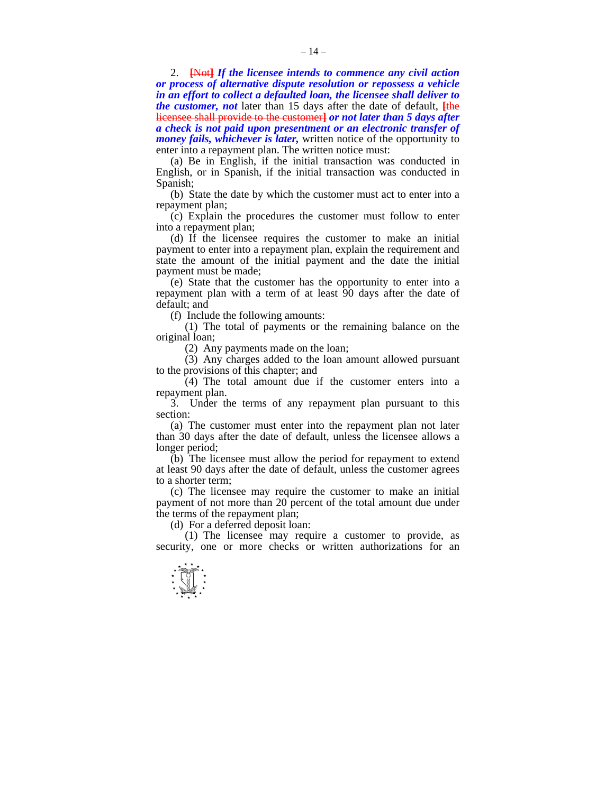2. **[**Not**]** *If the licensee intends to commence any civil action or process of alternative dispute resolution or repossess a vehicle in an effort to collect a defaulted loan, the licensee shall deliver to the customer, not* later than 15 days after the date of default, **[**the licensee shall provide to the customer**]** *or not later than 5 days after a check is not paid upon presentment or an electronic transfer of money fails, whichever is later,* written notice of the opportunity to enter into a repayment plan. The written notice must:

 (a) Be in English, if the initial transaction was conducted in English, or in Spanish, if the initial transaction was conducted in Spanish;

 (b) State the date by which the customer must act to enter into a repayment plan;

 (c) Explain the procedures the customer must follow to enter into a repayment plan;

 (d) If the licensee requires the customer to make an initial payment to enter into a repayment plan, explain the requirement and state the amount of the initial payment and the date the initial payment must be made;

 (e) State that the customer has the opportunity to enter into a repayment plan with a term of at least 90 days after the date of default; and

(f) Include the following amounts:

 (1) The total of payments or the remaining balance on the original loan;

(2) Any payments made on the loan;

 (3) Any charges added to the loan amount allowed pursuant to the provisions of this chapter; and

 (4) The total amount due if the customer enters into a repayment plan.

 3. Under the terms of any repayment plan pursuant to this section:

 (a) The customer must enter into the repayment plan not later than 30 days after the date of default, unless the licensee allows a longer period;

 (b) The licensee must allow the period for repayment to extend at least 90 days after the date of default, unless the customer agrees to a shorter term;

 (c) The licensee may require the customer to make an initial payment of not more than 20 percent of the total amount due under the terms of the repayment plan;

(d) For a deferred deposit loan:

 (1) The licensee may require a customer to provide, as security, one or more checks or written authorizations for an

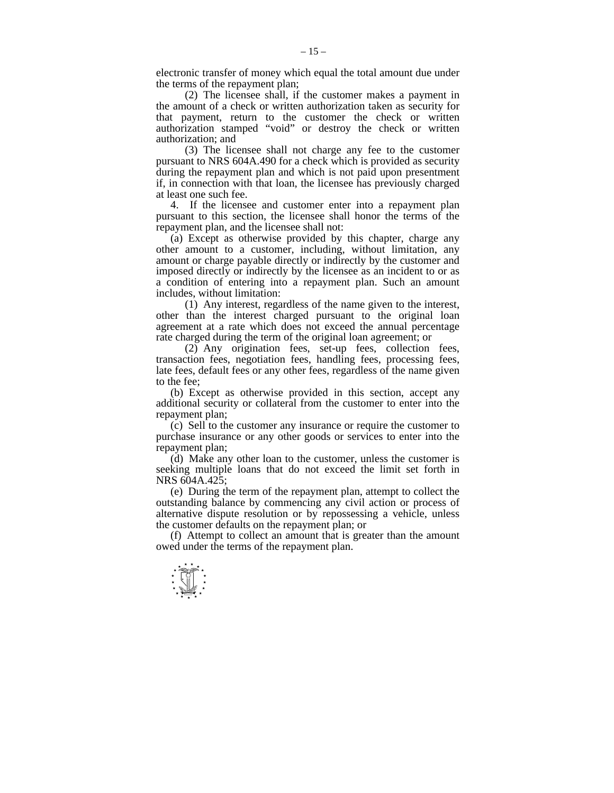electronic transfer of money which equal the total amount due under the terms of the repayment plan;

 (2) The licensee shall, if the customer makes a payment in the amount of a check or written authorization taken as security for that payment, return to the customer the check or written authorization stamped "void" or destroy the check or written authorization; and

 (3) The licensee shall not charge any fee to the customer pursuant to NRS 604A.490 for a check which is provided as security during the repayment plan and which is not paid upon presentment if, in connection with that loan, the licensee has previously charged at least one such fee.

 4. If the licensee and customer enter into a repayment plan pursuant to this section, the licensee shall honor the terms of the repayment plan, and the licensee shall not:

 (a) Except as otherwise provided by this chapter, charge any other amount to a customer, including, without limitation, any amount or charge payable directly or indirectly by the customer and imposed directly or indirectly by the licensee as an incident to or as a condition of entering into a repayment plan. Such an amount includes, without limitation:

 (1) Any interest, regardless of the name given to the interest, other than the interest charged pursuant to the original loan agreement at a rate which does not exceed the annual percentage rate charged during the term of the original loan agreement; or

 (2) Any origination fees, set-up fees, collection fees, transaction fees, negotiation fees, handling fees, processing fees, late fees, default fees or any other fees, regardless of the name given to the fee;

 (b) Except as otherwise provided in this section, accept any additional security or collateral from the customer to enter into the repayment plan;

 (c) Sell to the customer any insurance or require the customer to purchase insurance or any other goods or services to enter into the repayment plan;

 (d) Make any other loan to the customer, unless the customer is seeking multiple loans that do not exceed the limit set forth in NRS 604A.425;

 (e) During the term of the repayment plan, attempt to collect the outstanding balance by commencing any civil action or process of alternative dispute resolution or by repossessing a vehicle, unless the customer defaults on the repayment plan; or

 (f) Attempt to collect an amount that is greater than the amount owed under the terms of the repayment plan.

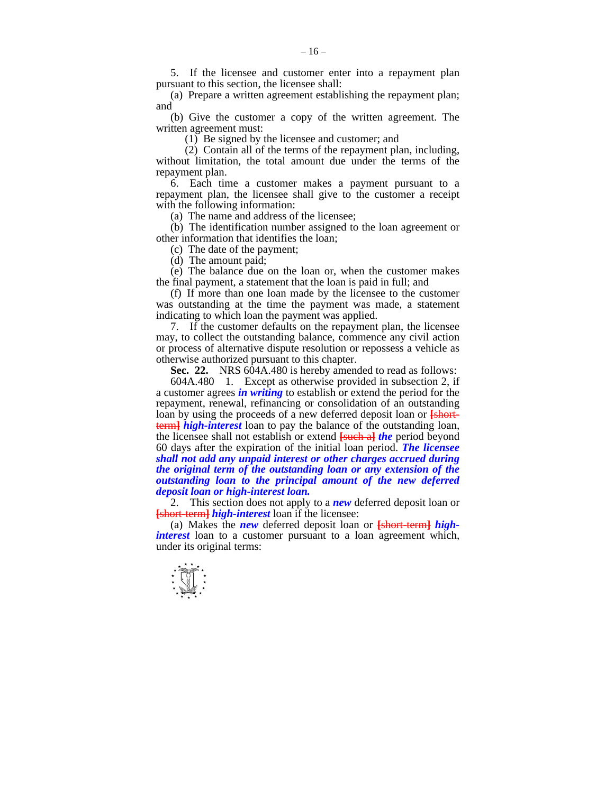5. If the licensee and customer enter into a repayment plan pursuant to this section, the licensee shall:

 (a) Prepare a written agreement establishing the repayment plan; and

 (b) Give the customer a copy of the written agreement. The written agreement must:

(1) Be signed by the licensee and customer; and

 (2) Contain all of the terms of the repayment plan, including, without limitation, the total amount due under the terms of the repayment plan.

 6. Each time a customer makes a payment pursuant to a repayment plan, the licensee shall give to the customer a receipt with the following information:

(a) The name and address of the licensee;

 (b) The identification number assigned to the loan agreement or other information that identifies the loan;

(c) The date of the payment;

(d) The amount paid;

 (e) The balance due on the loan or, when the customer makes the final payment, a statement that the loan is paid in full; and

 (f) If more than one loan made by the licensee to the customer was outstanding at the time the payment was made, a statement indicating to which loan the payment was applied.

 7. If the customer defaults on the repayment plan, the licensee may, to collect the outstanding balance, commence any civil action or process of alternative dispute resolution or repossess a vehicle as otherwise authorized pursuant to this chapter.

**Sec. 22.** NRS 604A.480 is hereby amended to read as follows:

 604A.480 1. Except as otherwise provided in subsection 2, if a customer agrees *in writing* to establish or extend the period for the repayment, renewal, refinancing or consolidation of an outstanding loan by using the proceeds of a new deferred deposit loan or **[short-term]** *high-interest* loan to pay the balance of the outstanding loan, the licensee shall not establish or extend **[**such a**]** *the* period beyond 60 days after the expiration of the initial loan period. *The licensee shall not add any unpaid interest or other charges accrued during the original term of the outstanding loan or any extension of the outstanding loan to the principal amount of the new deferred deposit loan or high-interest loan.*

 2. This section does not apply to a *new* deferred deposit loan or **[**short-term**]** *high-interest* loan if the licensee:

 (a) Makes the *new* deferred deposit loan or **[**short-term**]** *highinterest* loan to a customer pursuant to a loan agreement which, under its original terms:

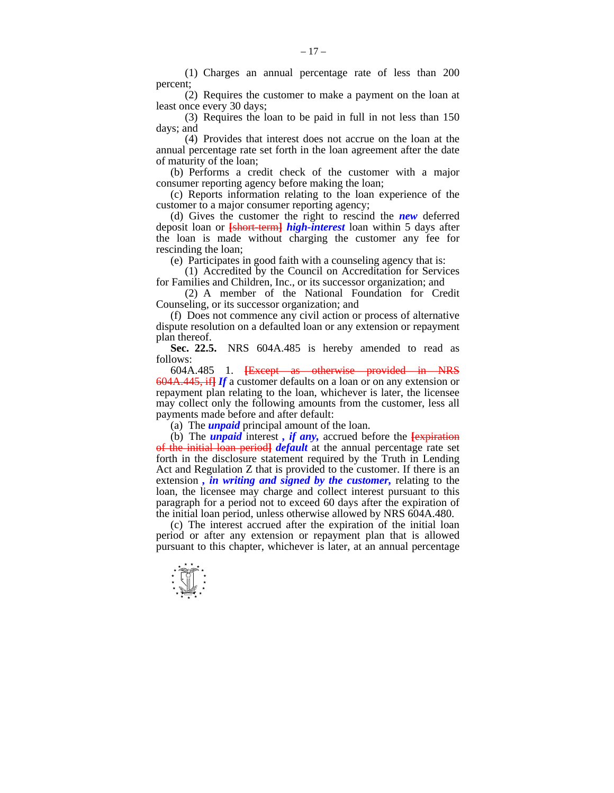(1) Charges an annual percentage rate of less than 200 percent;

 (2) Requires the customer to make a payment on the loan at least once every 30 days;

 (3) Requires the loan to be paid in full in not less than 150 days; and

 (4) Provides that interest does not accrue on the loan at the annual percentage rate set forth in the loan agreement after the date of maturity of the loan;

 (b) Performs a credit check of the customer with a major consumer reporting agency before making the loan;

 (c) Reports information relating to the loan experience of the customer to a major consumer reporting agency;

 (d) Gives the customer the right to rescind the *new* deferred deposit loan or **[**short-term**]** *high-interest* loan within 5 days after the loan is made without charging the customer any fee for rescinding the loan;

(e) Participates in good faith with a counseling agency that is:

 (1) Accredited by the Council on Accreditation for Services for Families and Children, Inc., or its successor organization; and

 (2) A member of the National Foundation for Credit Counseling, or its successor organization; and

 (f) Does not commence any civil action or process of alternative dispute resolution on a defaulted loan or any extension or repayment plan thereof.

 **Sec. 22.5.** NRS 604A.485 is hereby amended to read as follows:

 604A.485 1. **[**Except as otherwise provided in NRS 604A.445, if**]** *If* a customer defaults on a loan or on any extension or repayment plan relating to the loan, whichever is later, the licensee may collect only the following amounts from the customer, less all payments made before and after default:

(a) The *unpaid* principal amount of the loan.

 (b) The *unpaid* interest *, if any,* accrued before the **[**expiration of the initial loan period**]** *default* at the annual percentage rate set forth in the disclosure statement required by the Truth in Lending Act and Regulation Z that is provided to the customer. If there is an extension *, in writing and signed by the customer,* relating to the loan, the licensee may charge and collect interest pursuant to this paragraph for a period not to exceed 60 days after the expiration of the initial loan period, unless otherwise allowed by NRS 604A.480.

 (c) The interest accrued after the expiration of the initial loan period or after any extension or repayment plan that is allowed pursuant to this chapter, whichever is later, at an annual percentage

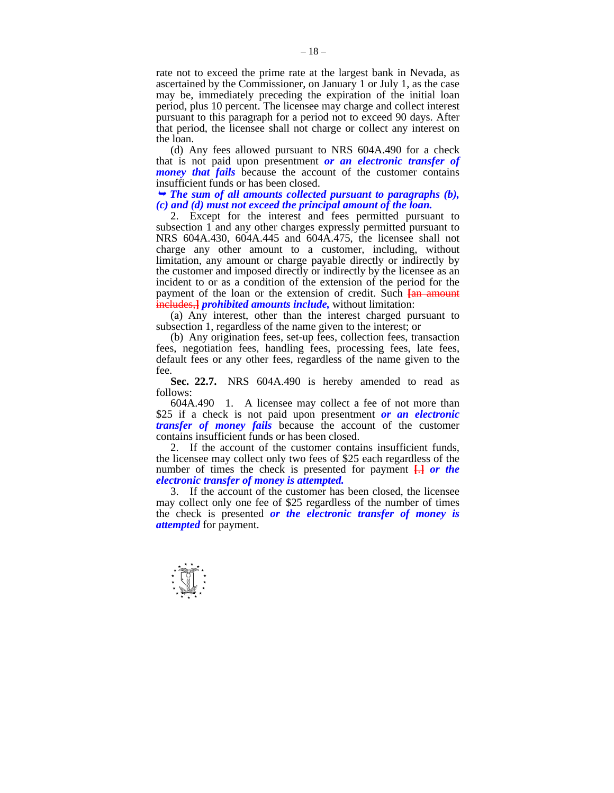rate not to exceed the prime rate at the largest bank in Nevada, as ascertained by the Commissioner, on January 1 or July 1, as the case may be, immediately preceding the expiration of the initial loan period, plus 10 percent. The licensee may charge and collect interest pursuant to this paragraph for a period not to exceed 90 days. After that period, the licensee shall not charge or collect any interest on the loan.

 (d) Any fees allowed pursuant to NRS 604A.490 for a check that is not paid upon presentment *or an electronic transfer of money that fails* because the account of the customer contains insufficient funds or has been closed.

 *The sum of all amounts collected pursuant to paragraphs (b), (c) and (d) must not exceed the principal amount of the loan.* 

 2. Except for the interest and fees permitted pursuant to subsection 1 and any other charges expressly permitted pursuant to NRS 604A.430, 604A.445 and 604A.475, the licensee shall not charge any other amount to a customer, including, without limitation, any amount or charge payable directly or indirectly by the customer and imposed directly or indirectly by the licensee as an incident to or as a condition of the extension of the period for the payment of the loan or the extension of credit. Such **[**an amount includes,**]** *prohibited amounts include,* without limitation:

 (a) Any interest, other than the interest charged pursuant to subsection 1, regardless of the name given to the interest; or

 (b) Any origination fees, set-up fees, collection fees, transaction fees, negotiation fees, handling fees, processing fees, late fees, default fees or any other fees, regardless of the name given to the fee.

 **Sec. 22.7.** NRS 604A.490 is hereby amended to read as follows:

 604A.490 1. A licensee may collect a fee of not more than \$25 if a check is not paid upon presentment *or an electronic transfer of money fails* because the account of the customer contains insufficient funds or has been closed.

 2. If the account of the customer contains insufficient funds, the licensee may collect only two fees of \$25 each regardless of the number of times the check is presented for payment **[**.**]** *or the electronic transfer of money is attempted.*

 3. If the account of the customer has been closed, the licensee may collect only one fee of \$25 regardless of the number of times the check is presented *or the electronic transfer of money is attempted* for payment.

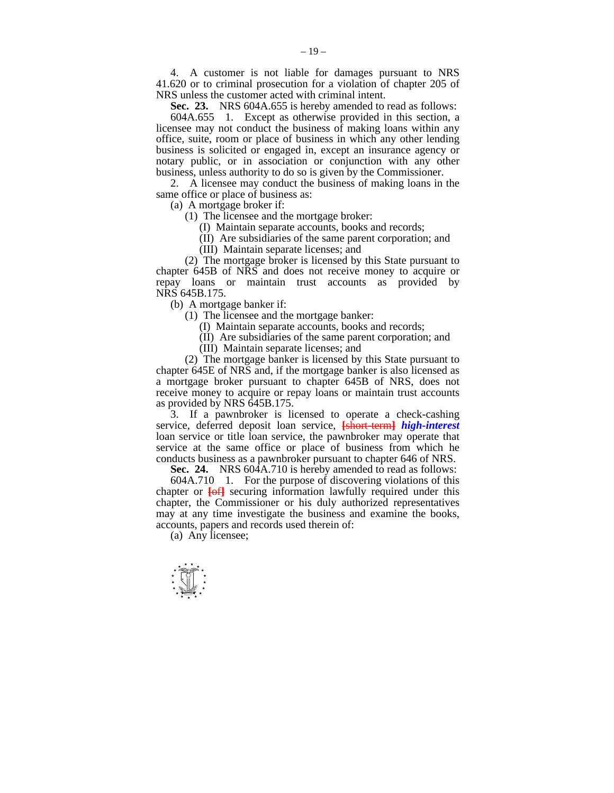4. A customer is not liable for damages pursuant to NRS 41.620 or to criminal prosecution for a violation of chapter 205 of NRS unless the customer acted with criminal intent.

 **Sec. 23.** NRS 604A.655 is hereby amended to read as follows:

 604A.655 1. Except as otherwise provided in this section, a licensee may not conduct the business of making loans within any office, suite, room or place of business in which any other lending business is solicited or engaged in, except an insurance agency or notary public, or in association or conjunction with any other business, unless authority to do so is given by the Commissioner.

 2. A licensee may conduct the business of making loans in the same office or place of business as:

(a) A mortgage broker if:

(1) The licensee and the mortgage broker:

(I) Maintain separate accounts, books and records;

(II) Are subsidiaries of the same parent corporation; and

(III) Maintain separate licenses; and

 (2) The mortgage broker is licensed by this State pursuant to chapter 645B of NRS and does not receive money to acquire or repay loans or maintain trust accounts as provided by NRS 645B.175.

(b) A mortgage banker if:

(1) The licensee and the mortgage banker:

(I) Maintain separate accounts, books and records;

(II) Are subsidiaries of the same parent corporation; and

(III) Maintain separate licenses; and

 (2) The mortgage banker is licensed by this State pursuant to chapter 645E of NRS and, if the mortgage banker is also licensed as a mortgage broker pursuant to chapter 645B of NRS, does not receive money to acquire or repay loans or maintain trust accounts as provided by NRS 645B.175.

 3. If a pawnbroker is licensed to operate a check-cashing service, deferred deposit loan service, **[**short-term**]** *high-interest*  loan service or title loan service, the pawnbroker may operate that service at the same office or place of business from which he conducts business as a pawnbroker pursuant to chapter 646 of NRS.

**Sec. 24.** NRS 604A.710 is hereby amended to read as follows:

 604A.710 1. For the purpose of discovering violations of this chapter or **[**of**]** securing information lawfully required under this chapter, the Commissioner or his duly authorized representatives may at any time investigate the business and examine the books, accounts, papers and records used therein of:

(a) Any licensee;

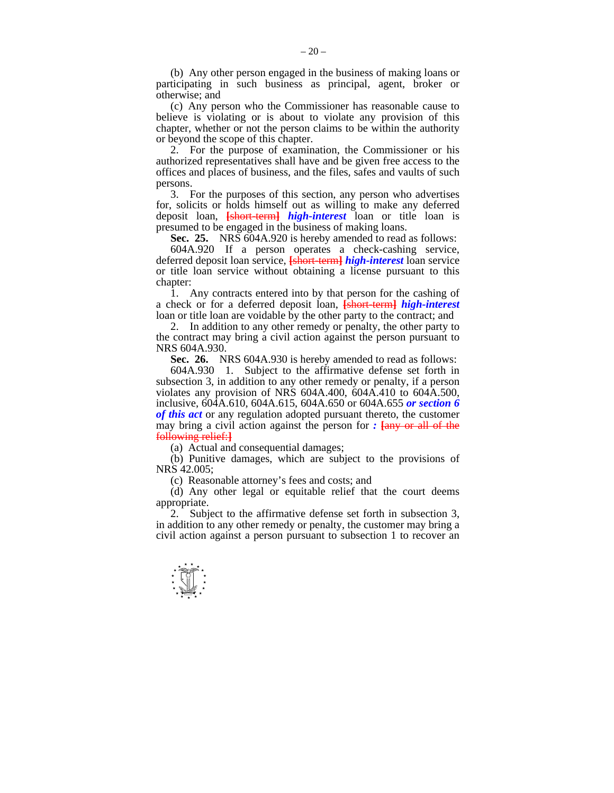(b) Any other person engaged in the business of making loans or participating in such business as principal, agent, broker or otherwise; and

 (c) Any person who the Commissioner has reasonable cause to believe is violating or is about to violate any provision of this chapter, whether or not the person claims to be within the authority or beyond the scope of this chapter.

 2. For the purpose of examination, the Commissioner or his authorized representatives shall have and be given free access to the offices and places of business, and the files, safes and vaults of such persons.

 3. For the purposes of this section, any person who advertises for, solicits or holds himself out as willing to make any deferred deposit loan, **[**short-term**]** *high-interest* loan or title loan is presumed to be engaged in the business of making loans.

**Sec. 25.** NRS 604A.920 is hereby amended to read as follows:

 604A.920 If a person operates a check-cashing service, deferred deposit loan service, **[**short-term**]** *high-interest* loan service or title loan service without obtaining a license pursuant to this chapter:

 1. Any contracts entered into by that person for the cashing of a check or for a deferred deposit loan, **[**short-term**]** *high-interest*  loan or title loan are voidable by the other party to the contract; and

 2. In addition to any other remedy or penalty, the other party to the contract may bring a civil action against the person pursuant to NRS 604A.930.

**Sec. 26.** NRS 604A.930 is hereby amended to read as follows:

 604A.930 1. Subject to the affirmative defense set forth in subsection 3, in addition to any other remedy or penalty, if a person violates any provision of NRS 604A.400, 604A.410 to 604A.500, inclusive, 604A.610, 604A.615, 604A.650 or 604A.655 *or section 6 of this act* or any regulation adopted pursuant thereto, the customer may bring a civil action against the person for *:* **[**any or all of the following relief:**]**

(a) Actual and consequential damages;

 (b) Punitive damages, which are subject to the provisions of NRS 42.005;

(c) Reasonable attorney's fees and costs; and

 (d) Any other legal or equitable relief that the court deems appropriate.

 2. Subject to the affirmative defense set forth in subsection 3, in addition to any other remedy or penalty, the customer may bring a civil action against a person pursuant to subsection 1 to recover an

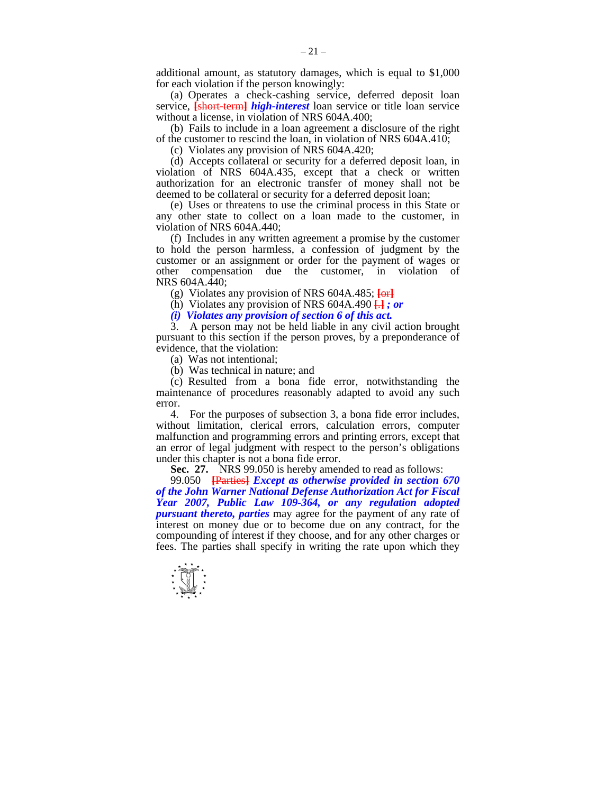additional amount, as statutory damages, which is equal to \$1,000 for each violation if the person knowingly:

 (a) Operates a check-cashing service, deferred deposit loan service, **[**short-term**]** *high-interest* loan service or title loan service without a license, in violation of NRS 604A.400;

 (b) Fails to include in a loan agreement a disclosure of the right of the customer to rescind the loan, in violation of NRS 604A.410;

(c) Violates any provision of NRS 604A.420;

 (d) Accepts collateral or security for a deferred deposit loan, in violation of NRS 604A.435, except that a check or written authorization for an electronic transfer of money shall not be deemed to be collateral or security for a deferred deposit loan;

 (e) Uses or threatens to use the criminal process in this State or any other state to collect on a loan made to the customer, in violation of NRS 604A.440;

 (f) Includes in any written agreement a promise by the customer to hold the person harmless, a confession of judgment by the customer or an assignment or order for the payment of wages or other compensation due the customer, in violation of NRS 604A.440;

(g) Violates any provision of NRS 604A.485; **[**or**]**

(h) Violates any provision of NRS 604A.490 **[**.**]** *; or* 

 *(i) Violates any provision of section 6 of this act.* 

 3. A person may not be held liable in any civil action brought pursuant to this section if the person proves, by a preponderance of evidence, that the violation:

(a) Was not intentional;

(b) Was technical in nature; and

 (c) Resulted from a bona fide error, notwithstanding the maintenance of procedures reasonably adapted to avoid any such error.

 4. For the purposes of subsection 3, a bona fide error includes, without limitation, clerical errors, calculation errors, computer malfunction and programming errors and printing errors, except that an error of legal judgment with respect to the person's obligations under this chapter is not a bona fide error.

**Sec. 27.** NRS 99.050 is hereby amended to read as follows:

 99.050 **[**Parties**]** *Except as otherwise provided in section 670 of the John Warner National Defense Authorization Act for Fiscal Year 2007, Public Law 109-364, or any regulation adopted pursuant thereto, parties* may agree for the payment of any rate of interest on money due or to become due on any contract, for the compounding of interest if they choose, and for any other charges or fees. The parties shall specify in writing the rate upon which they

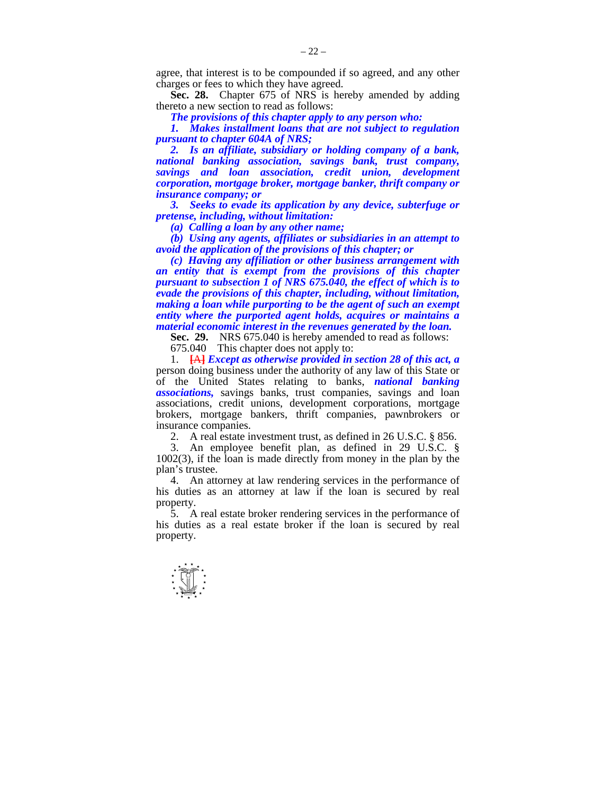agree, that interest is to be compounded if so agreed, and any other charges or fees to which they have agreed.

Sec. 28. Chapter 675 of NRS is hereby amended by adding thereto a new section to read as follows:

*The provisions of this chapter apply to any person who:* 

 *1. Makes installment loans that are not subject to regulation pursuant to chapter 604A of NRS;* 

 *2. Is an affiliate, subsidiary or holding company of a bank, national banking association, savings bank, trust company, savings and loan association, credit union, development corporation, mortgage broker, mortgage banker, thrift company or insurance company; or* 

 *3. Seeks to evade its application by any device, subterfuge or pretense, including, without limitation:* 

 *(a) Calling a loan by any other name;* 

 *(b) Using any agents, affiliates or subsidiaries in an attempt to avoid the application of the provisions of this chapter; or* 

 *(c) Having any affiliation or other business arrangement with an entity that is exempt from the provisions of this chapter pursuant to subsection 1 of NRS 675.040, the effect of which is to evade the provisions of this chapter, including, without limitation, making a loan while purporting to be the agent of such an exempt entity where the purported agent holds, acquires or maintains a material economic interest in the revenues generated by the loan.* 

**Sec. 29.** NRS 675.040 is hereby amended to read as follows:

675.040 This chapter does not apply to:

 1. **[**A**]** *Except as otherwise provided in section 28 of this act, a*  person doing business under the authority of any law of this State or of the United States relating to banks, *national banking associations,* savings banks, trust companies, savings and loan associations, credit unions, development corporations, mortgage brokers, mortgage bankers, thrift companies, pawnbrokers or insurance companies.

2. A real estate investment trust, as defined in 26 U.S.C. § 856.

 3. An employee benefit plan, as defined in 29 U.S.C. § 1002(3), if the loan is made directly from money in the plan by the plan's trustee.

 4. An attorney at law rendering services in the performance of his duties as an attorney at law if the loan is secured by real property.

 5. A real estate broker rendering services in the performance of his duties as a real estate broker if the loan is secured by real property.

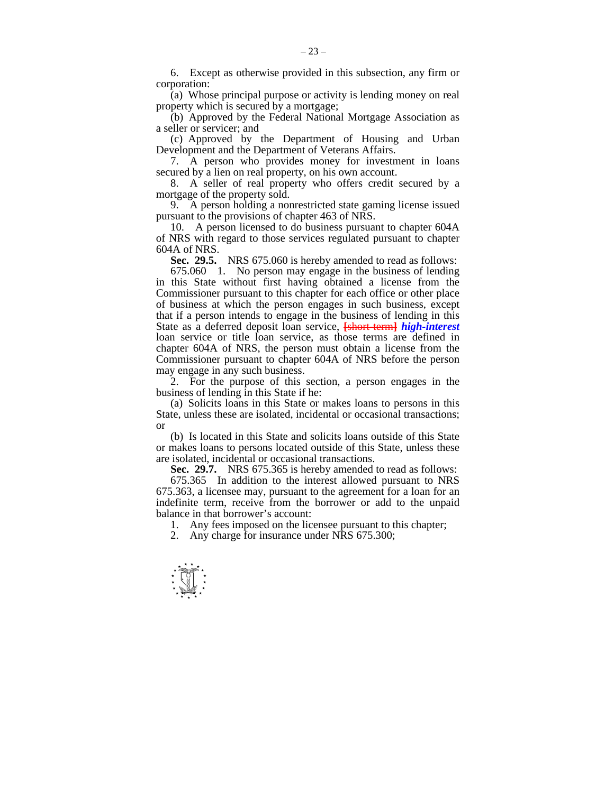6. Except as otherwise provided in this subsection, any firm or corporation:

 (a) Whose principal purpose or activity is lending money on real property which is secured by a mortgage;

 (b) Approved by the Federal National Mortgage Association as a seller or servicer; and

 (c) Approved by the Department of Housing and Urban Development and the Department of Veterans Affairs.

 7. A person who provides money for investment in loans secured by a lien on real property, on his own account.

 8. A seller of real property who offers credit secured by a mortgage of the property sold.

 9. A person holding a nonrestricted state gaming license issued pursuant to the provisions of chapter 463 of NRS.

 10. A person licensed to do business pursuant to chapter 604A of NRS with regard to those services regulated pursuant to chapter 604A of NRS.

 **Sec. 29.5.** NRS 675.060 is hereby amended to read as follows:

 675.060 1. No person may engage in the business of lending in this State without first having obtained a license from the Commissioner pursuant to this chapter for each office or other place of business at which the person engages in such business, except that if a person intends to engage in the business of lending in this State as a deferred deposit loan service, **[**short-term**]** *high-interest*  loan service or title loan service, as those terms are defined in chapter 604A of NRS, the person must obtain a license from the Commissioner pursuant to chapter 604A of NRS before the person may engage in any such business.

 2. For the purpose of this section, a person engages in the business of lending in this State if he:

 (a) Solicits loans in this State or makes loans to persons in this State, unless these are isolated, incidental or occasional transactions; or

 (b) Is located in this State and solicits loans outside of this State or makes loans to persons located outside of this State, unless these are isolated, incidental or occasional transactions.

**Sec. 29.7.** NRS 675.365 is hereby amended to read as follows:

 675.365 In addition to the interest allowed pursuant to NRS 675.363, a licensee may, pursuant to the agreement for a loan for an indefinite term, receive from the borrower or add to the unpaid balance in that borrower's account:

1. Any fees imposed on the licensee pursuant to this chapter;

2. Any charge for insurance under NRS 675.300;

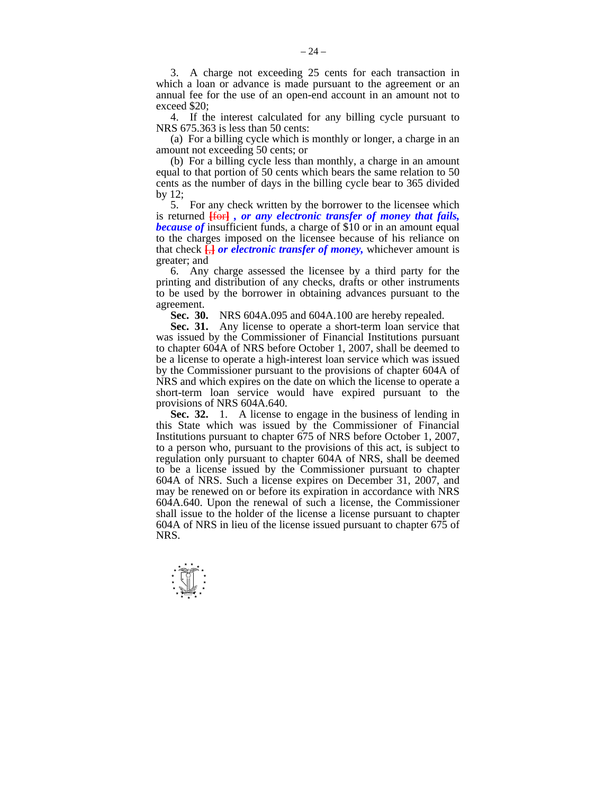3. A charge not exceeding 25 cents for each transaction in which a loan or advance is made pursuant to the agreement or an annual fee for the use of an open-end account in an amount not to exceed \$20;

 4. If the interest calculated for any billing cycle pursuant to NRS 675.363 is less than 50 cents:

 (a) For a billing cycle which is monthly or longer, a charge in an amount not exceeding 50 cents; or

 (b) For a billing cycle less than monthly, a charge in an amount equal to that portion of 50 cents which bears the same relation to 50 cents as the number of days in the billing cycle bear to 365 divided by 12;

 5. For any check written by the borrower to the licensee which is returned **[**for**]** *, or any electronic transfer of money that fails, because of* insufficient funds, a charge of \$10 or in an amount equal to the charges imposed on the licensee because of his reliance on that check  $\frac{1}{b}$  or *electronic transfer of money*, whichever amount is greater; and

 6. Any charge assessed the licensee by a third party for the printing and distribution of any checks, drafts or other instruments to be used by the borrower in obtaining advances pursuant to the agreement.

 **Sec. 30.** NRS 604A.095 and 604A.100 are hereby repealed.

 **Sec. 31.** Any license to operate a short-term loan service that was issued by the Commissioner of Financial Institutions pursuant to chapter 604A of NRS before October 1, 2007, shall be deemed to be a license to operate a high-interest loan service which was issued by the Commissioner pursuant to the provisions of chapter 604A of NRS and which expires on the date on which the license to operate a short-term loan service would have expired pursuant to the provisions of NRS 604A.640.

 **Sec. 32.** 1. A license to engage in the business of lending in this State which was issued by the Commissioner of Financial Institutions pursuant to chapter 675 of NRS before October 1, 2007, to a person who, pursuant to the provisions of this act, is subject to regulation only pursuant to chapter 604A of NRS, shall be deemed to be a license issued by the Commissioner pursuant to chapter 604A of NRS. Such a license expires on December 31, 2007, and may be renewed on or before its expiration in accordance with NRS 604A.640. Upon the renewal of such a license, the Commissioner shall issue to the holder of the license a license pursuant to chapter 604A of NRS in lieu of the license issued pursuant to chapter 675 of NRS.